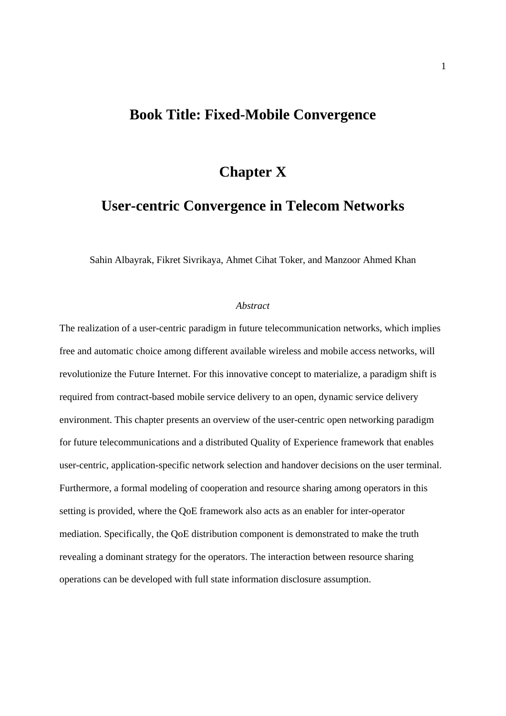# **Book Title: Fixed-Mobile Convergence**

# **Chapter X**

# **User-centric Convergence in Telecom Networks**

Sahin Albayrak, Fikret Sivrikaya, Ahmet Cihat Toker, and Manzoor Ahmed Khan

#### *Abstract*

The realization of a user-centric paradigm in future telecommunication networks, which implies free and automatic choice among different available wireless and mobile access networks, will revolutionize the Future Internet. For this innovative concept to materialize, a paradigm shift is required from contract-based mobile service delivery to an open, dynamic service delivery environment. This chapter presents an overview of the user-centric open networking paradigm for future telecommunications and a distributed Quality of Experience framework that enables user-centric, application-specific network selection and handover decisions on the user terminal. Furthermore, a formal modeling of cooperation and resource sharing among operators in this setting is provided, where the QoE framework also acts as an enabler for inter-operator mediation. Specifically, the QoE distribution component is demonstrated to make the truth revealing a dominant strategy for the operators. The interaction between resource sharing operations can be developed with full state information disclosure assumption.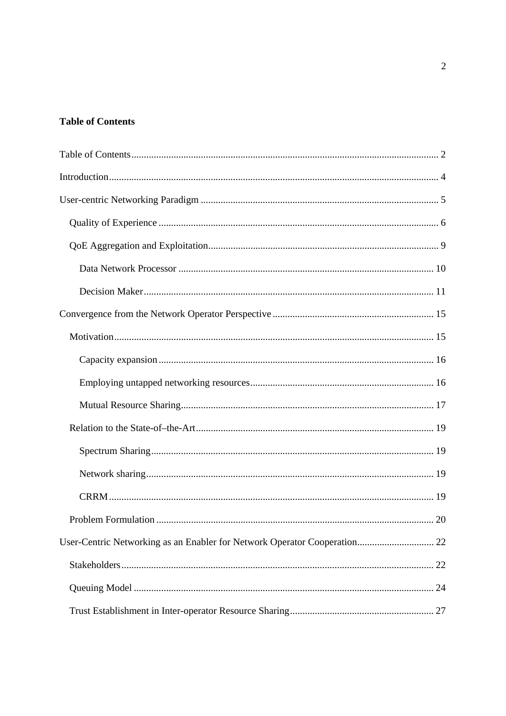# **Table of Contents**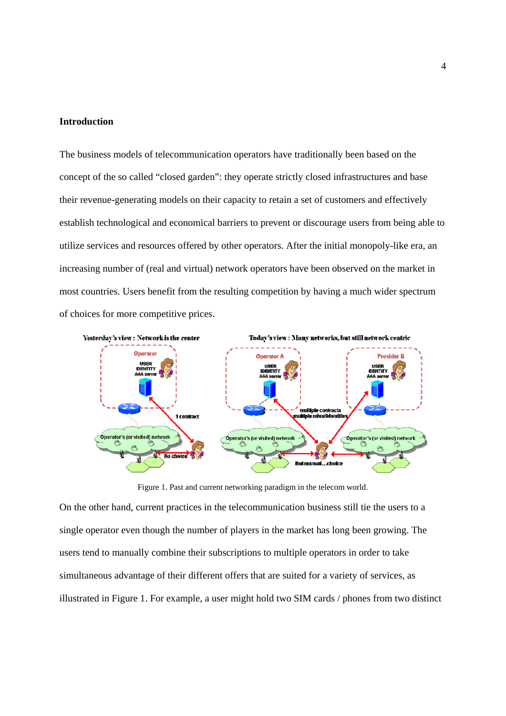#### **Introduction**

The business models of telecommunication operators have traditionally been based on the concept of the so called "closed garden": they operate strictly closed infrastructures and base their revenue-generating models on their capacity to retain a set of customers and effectively establish technological and economical barriers to prevent or discourage users from being able to utilize services and resources offered by other operators. After the initial monopoly-like era, an increasing number of (real and virtual) network operators have been observed on the market in most countries. Users benefit from the resulting competition by having a much wider spectrum of choices for more competitive prices.



Figure 1. Past and current networking paradigm in the telecom world.

On the other hand, current practices in the telecommunication business still tie the users to a single operator even though the number of players in the market has long been growing. The users tend to manually combine their subscriptions to multiple operators in order to take simultaneous advantage of their different offers that are suited for a variety of services, as illustrated in Figure 1. For example, a user might hold two SIM cards / phones from two distinct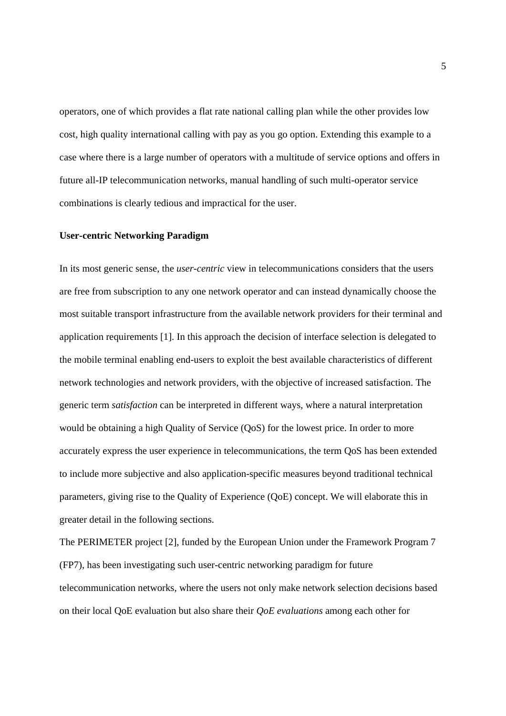operators, one of which provides a flat rate national calling plan while the other provides low cost, high quality international calling with pay as you go option. Extending this example to a case where there is a large number of operators with a multitude of service options and offers in future all-IP telecommunication networks, manual handling of such multi-operator service combinations is clearly tedious and impractical for the user.

#### **User-centric Networking Paradigm**

In its most generic sense, the *user-centric* view in telecommunications considers that the users are free from subscription to any one network operator and can instead dynamically choose the most suitable transport infrastructure from the available network providers for their terminal and application requirements [1]. In this approach the decision of interface selection is delegated to the mobile terminal enabling end-users to exploit the best available characteristics of different network technologies and network providers, with the objective of increased satisfaction. The generic term *satisfaction* can be interpreted in different ways, where a natural interpretation would be obtaining a high Quality of Service (QoS) for the lowest price. In order to more accurately express the user experience in telecommunications, the term QoS has been extended to include more subjective and also application-specific measures beyond traditional technical parameters, giving rise to the Quality of Experience (QoE) concept. We will elaborate this in greater detail in the following sections.

The PERIMETER project [2], funded by the European Union under the Framework Program 7 (FP7), has been investigating such user-centric networking paradigm for future telecommunication networks, where the users not only make network selection decisions based on their local QoE evaluation but also share their *QoE evaluations* among each other for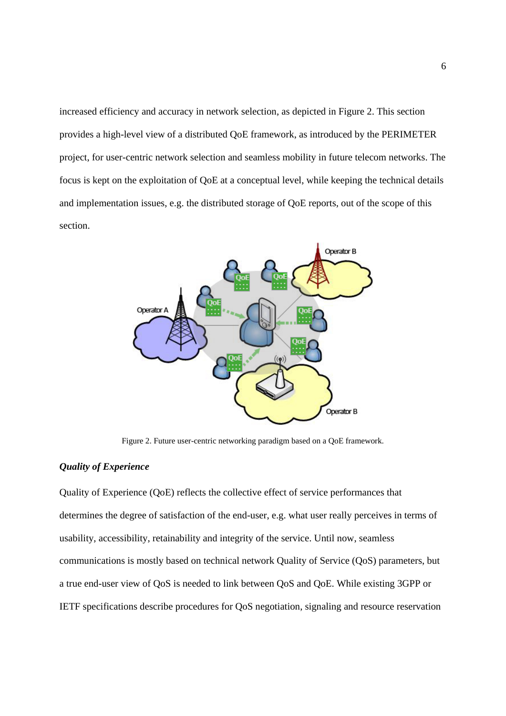increased efficiency and accuracy in network selection, as depicted in Figure 2. This section provides a high-level view of a distributed QoE framework, as introduced by the PERIMETER project, for user-centric network selection and seamless mobility in future telecom networks. The focus is kept on the exploitation of QoE at a conceptual level, while keeping the technical details and implementation issues, e.g. the distributed storage of QoE reports, out of the scope of this section.



Figure 2. Future user-centric networking paradigm based on a QoE framework.

# *Quality of Experience*

Quality of Experience (QoE) reflects the collective effect of service performances that determines the degree of satisfaction of the end-user, e.g. what user really perceives in terms of usability, accessibility, retainability and integrity of the service. Until now, seamless communications is mostly based on technical network Quality of Service (QoS) parameters, but a true end-user view of QoS is needed to link between QoS and QoE. While existing 3GPP or IETF specifications describe procedures for QoS negotiation, signaling and resource reservation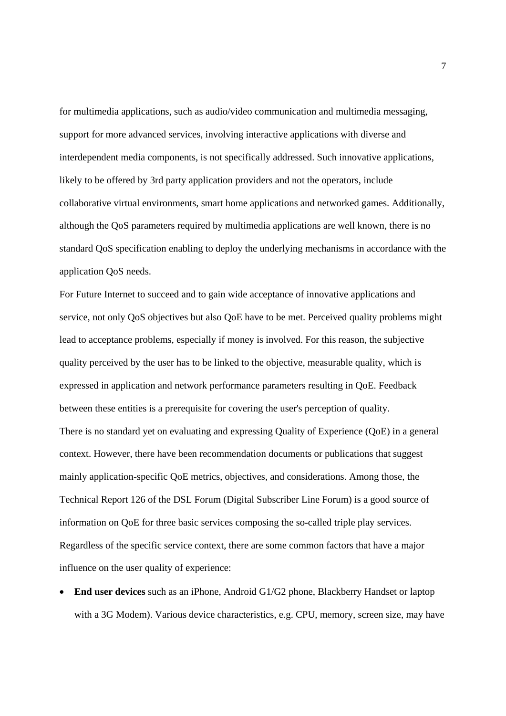for multimedia applications, such as audio/video communication and multimedia messaging, support for more advanced services, involving interactive applications with diverse and interdependent media components, is not specifically addressed. Such innovative applications, likely to be offered by 3rd party application providers and not the operators, include collaborative virtual environments, smart home applications and networked games. Additionally, although the QoS parameters required by multimedia applications are well known, there is no standard QoS specification enabling to deploy the underlying mechanisms in accordance with the application QoS needs.

For Future Internet to succeed and to gain wide acceptance of innovative applications and service, not only QoS objectives but also QoE have to be met. Perceived quality problems might lead to acceptance problems, especially if money is involved. For this reason, the subjective quality perceived by the user has to be linked to the objective, measurable quality, which is expressed in application and network performance parameters resulting in QoE. Feedback between these entities is a prerequisite for covering the user's perception of quality. There is no standard yet on evaluating and expressing Quality of Experience (QoE) in a general context. However, there have been recommendation documents or publications that suggest mainly application-specific QoE metrics, objectives, and considerations. Among those, the Technical Report 126 of the DSL Forum (Digital Subscriber Line Forum) is a good source of information on QoE for three basic services composing the so-called triple play services. Regardless of the specific service context, there are some common factors that have a major influence on the user quality of experience:

• **End user devices** such as an iPhone, Android G1/G2 phone, Blackberry Handset or laptop with a 3G Modem). Various device characteristics, e.g. CPU, memory, screen size, may have

7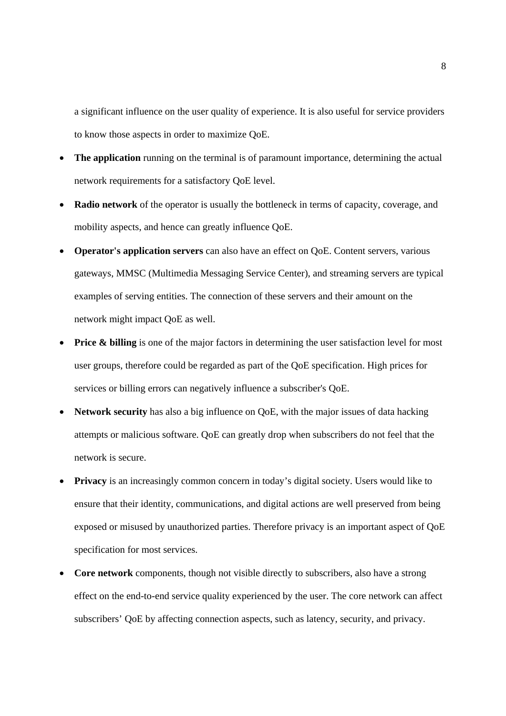a significant influence on the user quality of experience. It is also useful for service providers to know those aspects in order to maximize QoE.

- The application running on the terminal is of paramount importance, determining the actual network requirements for a satisfactory QoE level.
- **Radio network** of the operator is usually the bottleneck in terms of capacity, coverage, and mobility aspects, and hence can greatly influence QoE.
- **Operator's application servers** can also have an effect on QoE. Content servers, various gateways, MMSC (Multimedia Messaging Service Center), and streaming servers are typical examples of serving entities. The connection of these servers and their amount on the network might impact QoE as well.
- **Price & billing** is one of the major factors in determining the user satisfaction level for most user groups, therefore could be regarded as part of the QoE specification. High prices for services or billing errors can negatively influence a subscriber's QoE.
- **Network security** has also a big influence on QoE, with the major issues of data hacking attempts or malicious software. QoE can greatly drop when subscribers do not feel that the network is secure.
- **Privacy** is an increasingly common concern in today's digital society. Users would like to ensure that their identity, communications, and digital actions are well preserved from being exposed or misused by unauthorized parties. Therefore privacy is an important aspect of QoE specification for most services.
- **Core network** components, though not visible directly to subscribers, also have a strong effect on the end-to-end service quality experienced by the user. The core network can affect subscribers' QoE by affecting connection aspects, such as latency, security, and privacy.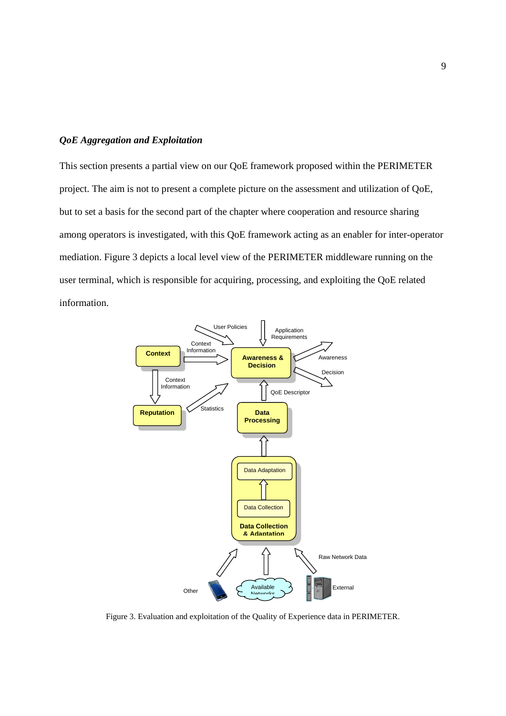#### *QoE Aggregation and Exploitation*

This section presents a partial view on our QoE framework proposed within the PERIMETER project. The aim is not to present a complete picture on the assessment and utilization of QoE, but to set a basis for the second part of the chapter where cooperation and resource sharing among operators is investigated, with this QoE framework acting as an enabler for inter-operator mediation. Figure 3 depicts a local level view of the PERIMETER middleware running on the user terminal, which is responsible for acquiring, processing, and exploiting the QoE related information.



Figure 3. Evaluation and exploitation of the Quality of Experience data in PERIMETER.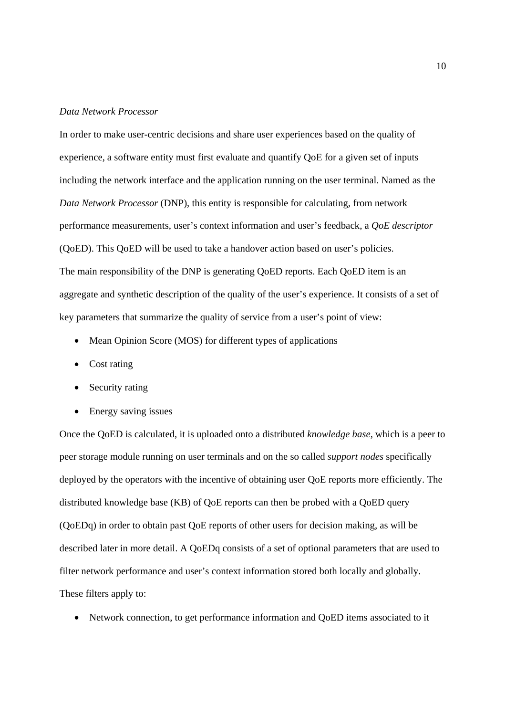#### *Data Network Processor*

In order to make user-centric decisions and share user experiences based on the quality of experience, a software entity must first evaluate and quantify QoE for a given set of inputs including the network interface and the application running on the user terminal. Named as the *Data Network Processor* (DNP), this entity is responsible for calculating, from network performance measurements, user's context information and user's feedback, a *QoE descriptor* (QoED). This QoED will be used to take a handover action based on user's policies. The main responsibility of the DNP is generating QoED reports. Each QoED item is an aggregate and synthetic description of the quality of the user's experience. It consists of a set of key parameters that summarize the quality of service from a user's point of view:

- Mean Opinion Score (MOS) for different types of applications
- Cost rating
- Security rating
- Energy saving issues

Once the QoED is calculated, it is uploaded onto a distributed *knowledge base*, which is a peer to peer storage module running on user terminals and on the so called *support nodes* specifically deployed by the operators with the incentive of obtaining user QoE reports more efficiently. The distributed knowledge base (KB) of QoE reports can then be probed with a QoED query (QoEDq) in order to obtain past QoE reports of other users for decision making, as will be described later in more detail. A QoEDq consists of a set of optional parameters that are used to filter network performance and user's context information stored both locally and globally. These filters apply to:

• Network connection, to get performance information and QoED items associated to it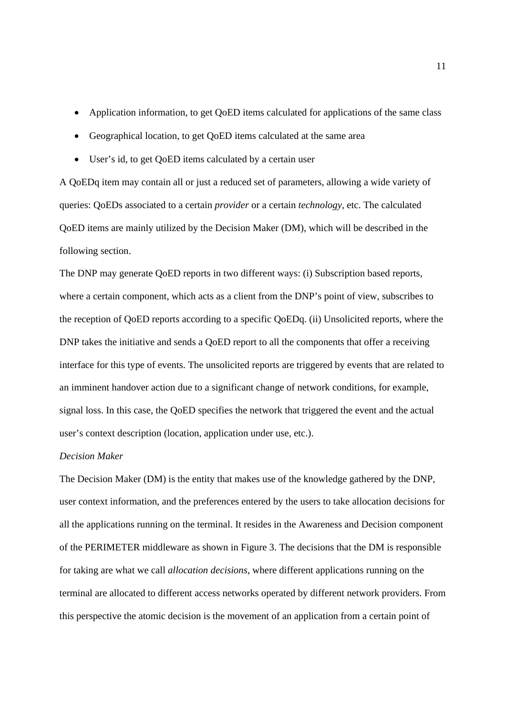- Application information, to get QoED items calculated for applications of the same class
- Geographical location, to get QoED items calculated at the same area
- User's id, to get QoED items calculated by a certain user

A QoEDq item may contain all or just a reduced set of parameters, allowing a wide variety of queries: QoEDs associated to a certain *provider* or a certain *technology*, etc. The calculated QoED items are mainly utilized by the Decision Maker (DM), which will be described in the following section.

The DNP may generate QoED reports in two different ways: (i) Subscription based reports, where a certain component, which acts as a client from the DNP's point of view, subscribes to the reception of QoED reports according to a specific QoEDq. (ii) Unsolicited reports, where the DNP takes the initiative and sends a QoED report to all the components that offer a receiving interface for this type of events. The unsolicited reports are triggered by events that are related to an imminent handover action due to a significant change of network conditions, for example, signal loss. In this case, the QoED specifies the network that triggered the event and the actual user's context description (location, application under use, etc.).

# *Decision Maker*

The Decision Maker (DM) is the entity that makes use of the knowledge gathered by the DNP, user context information, and the preferences entered by the users to take allocation decisions for all the applications running on the terminal. It resides in the Awareness and Decision component of the PERIMETER middleware as shown in Figure 3. The decisions that the DM is responsible for taking are what we call *allocation decisions*, where different applications running on the terminal are allocated to different access networks operated by different network providers. From this perspective the atomic decision is the movement of an application from a certain point of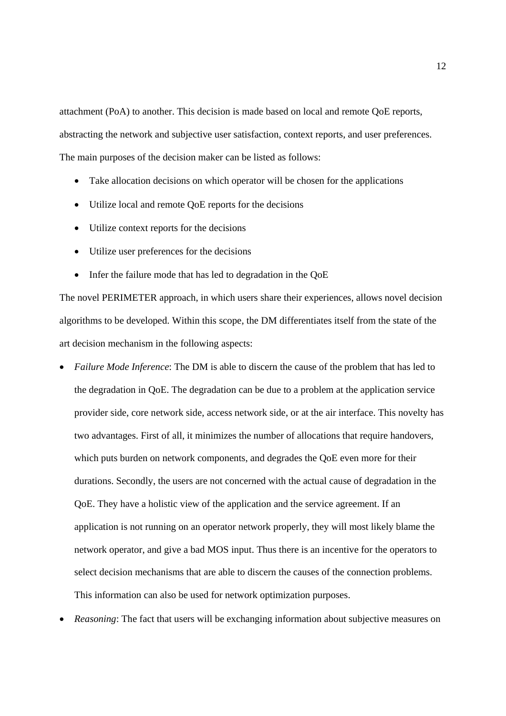attachment (PoA) to another. This decision is made based on local and remote QoE reports, abstracting the network and subjective user satisfaction, context reports, and user preferences. The main purposes of the decision maker can be listed as follows:

- Take allocation decisions on which operator will be chosen for the applications
- Utilize local and remote QoE reports for the decisions
- Utilize context reports for the decisions
- Utilize user preferences for the decisions
- Infer the failure mode that has led to degradation in the OoE

The novel PERIMETER approach, in which users share their experiences, allows novel decision algorithms to be developed. Within this scope, the DM differentiates itself from the state of the art decision mechanism in the following aspects:

- *Failure Mode Inference*: The DM is able to discern the cause of the problem that has led to the degradation in QoE. The degradation can be due to a problem at the application service provider side, core network side, access network side, or at the air interface. This novelty has two advantages. First of all, it minimizes the number of allocations that require handovers, which puts burden on network components, and degrades the OoE even more for their durations. Secondly, the users are not concerned with the actual cause of degradation in the QoE. They have a holistic view of the application and the service agreement. If an application is not running on an operator network properly, they will most likely blame the network operator, and give a bad MOS input. Thus there is an incentive for the operators to select decision mechanisms that are able to discern the causes of the connection problems. This information can also be used for network optimization purposes.
- *Reasoning*: The fact that users will be exchanging information about subjective measures on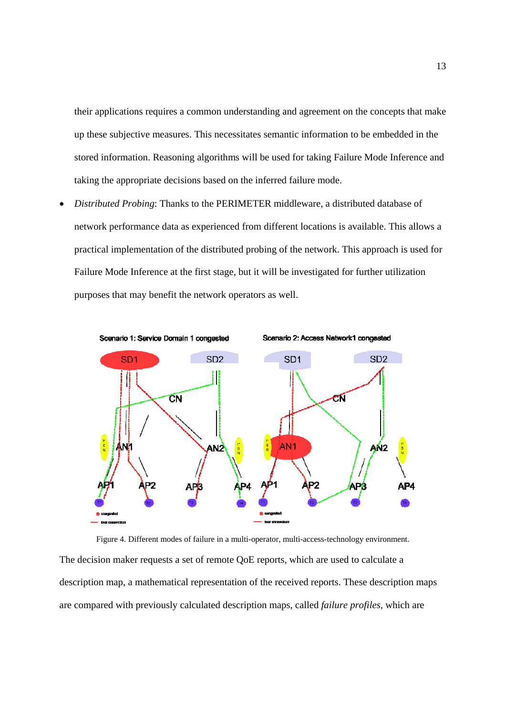their applications requires a common understanding and agreement on the concepts that make up these subjective measures. This necessitates semantic information to be embedded in the stored information. Reasoning algorithms will be used for taking Failure Mode Inference and taking the appropriate decisions based on the inferred failure mode.

• *Distributed Probing*: Thanks to the PERIMETER middleware, a distributed database of network performance data as experienced from different locations is available. This allows a practical implementation of the distributed probing of the network. This approach is used for Failure Mode Inference at the first stage, but it will be investigated for further utilization purposes that may benefit the network operators as well.



Figure 4. Different modes of failure in a multi-operator, multi-access-technology environment. The decision maker requests a set of remote QoE reports, which are used to calculate a description map, a mathematical representation of the received reports. These description maps are compared with previously calculated description maps, called *failure profiles,* which are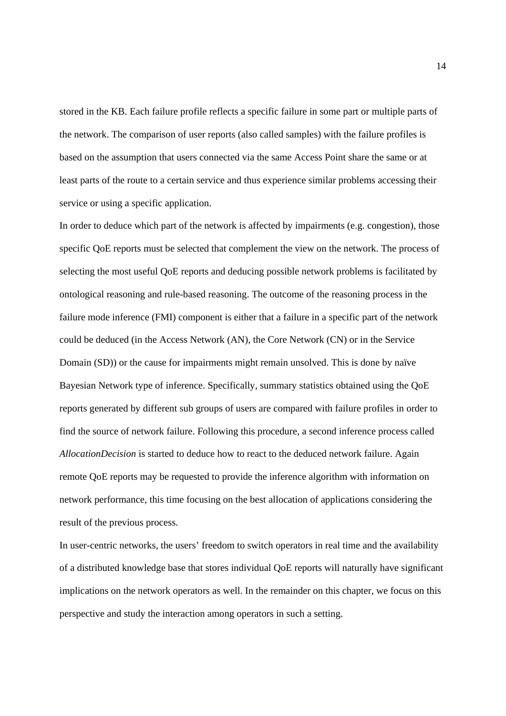stored in the KB. Each failure profile reflects a specific failure in some part or multiple parts of the network. The comparison of user reports (also called samples) with the failure profiles is based on the assumption that users connected via the same Access Point share the same or at least parts of the route to a certain service and thus experience similar problems accessing their service or using a specific application.

In order to deduce which part of the network is affected by impairments (e.g. congestion), those specific QoE reports must be selected that complement the view on the network. The process of selecting the most useful QoE reports and deducing possible network problems is facilitated by ontological reasoning and rule-based reasoning. The outcome of the reasoning process in the failure mode inference (FMI) component is either that a failure in a specific part of the network could be deduced (in the Access Network (AN), the Core Network (CN) or in the Service Domain (SD)) or the cause for impairments might remain unsolved. This is done by naïve Bayesian Network type of inference. Specifically, summary statistics obtained using the QoE reports generated by different sub groups of users are compared with failure profiles in order to find the source of network failure. Following this procedure, a second inference process called *AllocationDecision* is started to deduce how to react to the deduced network failure. Again remote QoE reports may be requested to provide the inference algorithm with information on network performance, this time focusing on the best allocation of applications considering the result of the previous process.

In user-centric networks, the users' freedom to switch operators in real time and the availability of a distributed knowledge base that stores individual QoE reports will naturally have significant implications on the network operators as well. In the remainder on this chapter, we focus on this perspective and study the interaction among operators in such a setting.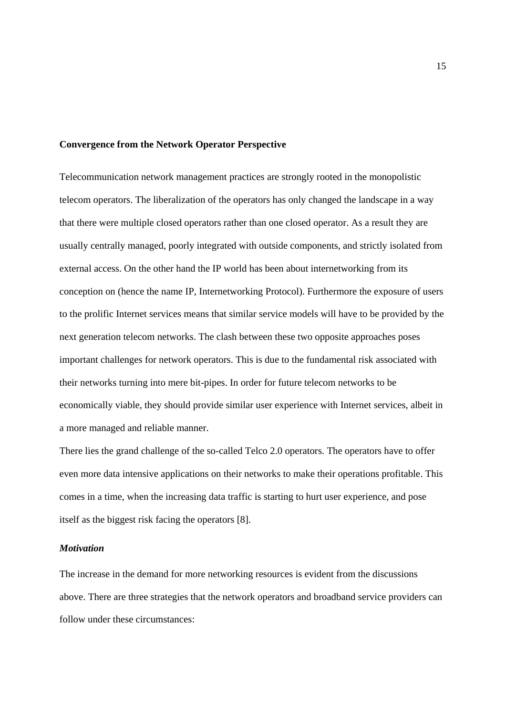# **Convergence from the Network Operator Perspective**

Telecommunication network management practices are strongly rooted in the monopolistic telecom operators. The liberalization of the operators has only changed the landscape in a way that there were multiple closed operators rather than one closed operator. As a result they are usually centrally managed, poorly integrated with outside components, and strictly isolated from external access. On the other hand the IP world has been about internetworking from its conception on (hence the name IP, Internetworking Protocol). Furthermore the exposure of users to the prolific Internet services means that similar service models will have to be provided by the next generation telecom networks. The clash between these two opposite approaches poses important challenges for network operators. This is due to the fundamental risk associated with their networks turning into mere bit-pipes. In order for future telecom networks to be economically viable, they should provide similar user experience with Internet services, albeit in a more managed and reliable manner.

There lies the grand challenge of the so-called Telco 2.0 operators. The operators have to offer even more data intensive applications on their networks to make their operations profitable. This comes in a time, when the increasing data traffic is starting to hurt user experience, and pose itself as the biggest risk facing the operators [8].

#### *Motivation*

The increase in the demand for more networking resources is evident from the discussions above. There are three strategies that the network operators and broadband service providers can follow under these circumstances: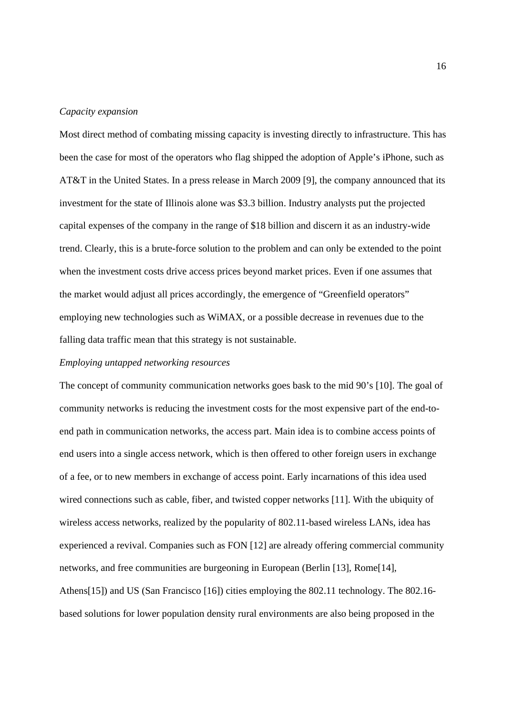#### *Capacity expansion*

Most direct method of combating missing capacity is investing directly to infrastructure. This has been the case for most of the operators who flag shipped the adoption of Apple's iPhone, such as AT&T in the United States. In a press release in March 2009 [9], the company announced that its investment for the state of Illinois alone was \$3.3 billion. Industry analysts put the projected capital expenses of the company in the range of \$18 billion and discern it as an industry-wide trend. Clearly, this is a brute-force solution to the problem and can only be extended to the point when the investment costs drive access prices beyond market prices. Even if one assumes that the market would adjust all prices accordingly, the emergence of "Greenfield operators" employing new technologies such as WiMAX, or a possible decrease in revenues due to the falling data traffic mean that this strategy is not sustainable.

#### *Employing untapped networking resources*

The concept of community communication networks goes bask to the mid 90's [10]. The goal of community networks is reducing the investment costs for the most expensive part of the end-toend path in communication networks, the access part. Main idea is to combine access points of end users into a single access network, which is then offered to other foreign users in exchange of a fee, or to new members in exchange of access point. Early incarnations of this idea used wired connections such as cable, fiber, and twisted copper networks [11]. With the ubiquity of wireless access networks, realized by the popularity of 802.11-based wireless LANs, idea has experienced a revival. Companies such as FON [12] are already offering commercial community networks, and free communities are burgeoning in European (Berlin [13], Rome[14], Athens<sup>[15]</sup>) and US (San Francisco [16]) cities employing the 802.11 technology. The 802.16based solutions for lower population density rural environments are also being proposed in the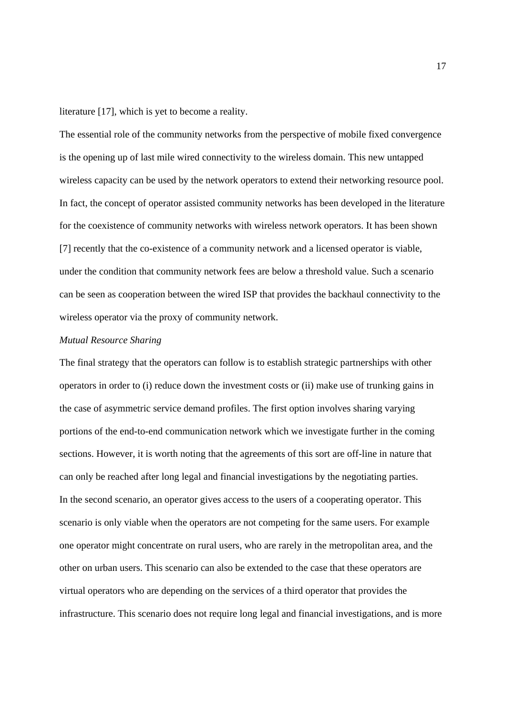literature [17], which is yet to become a reality.

The essential role of the community networks from the perspective of mobile fixed convergence is the opening up of last mile wired connectivity to the wireless domain. This new untapped wireless capacity can be used by the network operators to extend their networking resource pool. In fact, the concept of operator assisted community networks has been developed in the literature for the coexistence of community networks with wireless network operators. It has been shown [7] recently that the co-existence of a community network and a licensed operator is viable, under the condition that community network fees are below a threshold value. Such a scenario can be seen as cooperation between the wired ISP that provides the backhaul connectivity to the wireless operator via the proxy of community network.

#### *Mutual Resource Sharing*

The final strategy that the operators can follow is to establish strategic partnerships with other operators in order to (i) reduce down the investment costs or (ii) make use of trunking gains in the case of asymmetric service demand profiles. The first option involves sharing varying portions of the end-to-end communication network which we investigate further in the coming sections. However, it is worth noting that the agreements of this sort are off-line in nature that can only be reached after long legal and financial investigations by the negotiating parties. In the second scenario, an operator gives access to the users of a cooperating operator. This scenario is only viable when the operators are not competing for the same users. For example one operator might concentrate on rural users, who are rarely in the metropolitan area, and the other on urban users. This scenario can also be extended to the case that these operators are virtual operators who are depending on the services of a third operator that provides the infrastructure. This scenario does not require long legal and financial investigations, and is more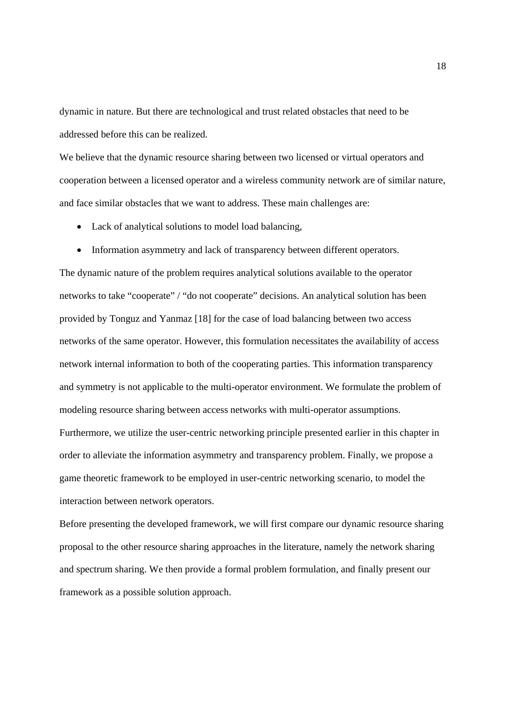dynamic in nature. But there are technological and trust related obstacles that need to be addressed before this can be realized.

We believe that the dynamic resource sharing between two licensed or virtual operators and cooperation between a licensed operator and a wireless community network are of similar nature, and face similar obstacles that we want to address. These main challenges are:

- Lack of analytical solutions to model load balancing,
- Information asymmetry and lack of transparency between different operators.

The dynamic nature of the problem requires analytical solutions available to the operator networks to take "cooperate" / "do not cooperate" decisions. An analytical solution has been provided by Tonguz and Yanmaz [18] for the case of load balancing between two access networks of the same operator. However, this formulation necessitates the availability of access network internal information to both of the cooperating parties. This information transparency and symmetry is not applicable to the multi-operator environment. We formulate the problem of modeling resource sharing between access networks with multi-operator assumptions. Furthermore, we utilize the user-centric networking principle presented earlier in this chapter in order to alleviate the information asymmetry and transparency problem. Finally, we propose a game theoretic framework to be employed in user-centric networking scenario, to model the interaction between network operators.

Before presenting the developed framework, we will first compare our dynamic resource sharing proposal to the other resource sharing approaches in the literature, namely the network sharing and spectrum sharing. We then provide a formal problem formulation, and finally present our framework as a possible solution approach.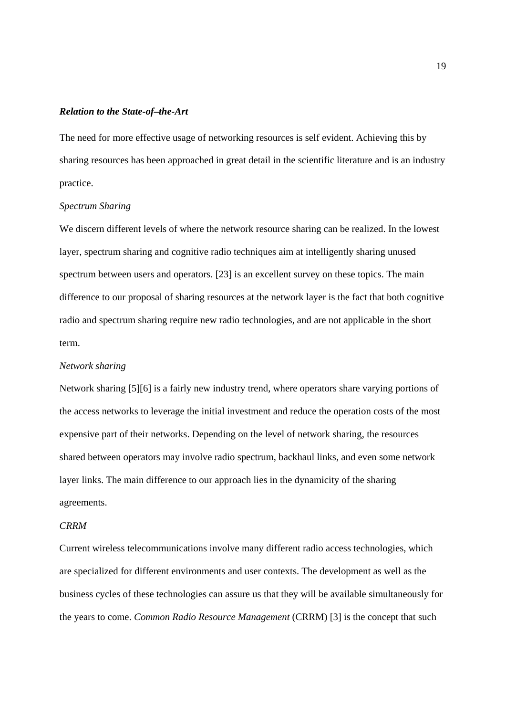#### *Relation to the State-of–the-Art*

The need for more effective usage of networking resources is self evident. Achieving this by sharing resources has been approached in great detail in the scientific literature and is an industry practice.

## *Spectrum Sharing*

We discern different levels of where the network resource sharing can be realized. In the lowest layer, spectrum sharing and cognitive radio techniques aim at intelligently sharing unused spectrum between users and operators. [23] is an excellent survey on these topics. The main difference to our proposal of sharing resources at the network layer is the fact that both cognitive radio and spectrum sharing require new radio technologies, and are not applicable in the short term.

#### *Network sharing*

Network sharing [5][6] is a fairly new industry trend, where operators share varying portions of the access networks to leverage the initial investment and reduce the operation costs of the most expensive part of their networks. Depending on the level of network sharing, the resources shared between operators may involve radio spectrum, backhaul links, and even some network layer links. The main difference to our approach lies in the dynamicity of the sharing agreements.

# *CRRM*

Current wireless telecommunications involve many different radio access technologies, which are specialized for different environments and user contexts. The development as well as the business cycles of these technologies can assure us that they will be available simultaneously for the years to come. *Common Radio Resource Management* (CRRM) [3] is the concept that such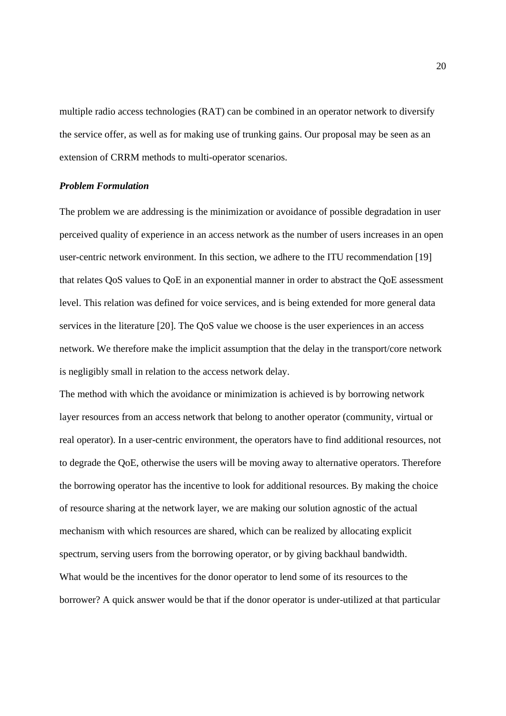multiple radio access technologies (RAT) can be combined in an operator network to diversify the service offer, as well as for making use of trunking gains. Our proposal may be seen as an extension of CRRM methods to multi-operator scenarios.

### *Problem Formulation*

The problem we are addressing is the minimization or avoidance of possible degradation in user perceived quality of experience in an access network as the number of users increases in an open user-centric network environment. In this section, we adhere to the ITU recommendation [19] that relates QoS values to QoE in an exponential manner in order to abstract the QoE assessment level. This relation was defined for voice services, and is being extended for more general data services in the literature [20]. The QoS value we choose is the user experiences in an access network. We therefore make the implicit assumption that the delay in the transport/core network is negligibly small in relation to the access network delay.

The method with which the avoidance or minimization is achieved is by borrowing network layer resources from an access network that belong to another operator (community, virtual or real operator). In a user-centric environment, the operators have to find additional resources, not to degrade the QoE, otherwise the users will be moving away to alternative operators. Therefore the borrowing operator has the incentive to look for additional resources. By making the choice of resource sharing at the network layer, we are making our solution agnostic of the actual mechanism with which resources are shared, which can be realized by allocating explicit spectrum, serving users from the borrowing operator, or by giving backhaul bandwidth. What would be the incentives for the donor operator to lend some of its resources to the borrower? A quick answer would be that if the donor operator is under-utilized at that particular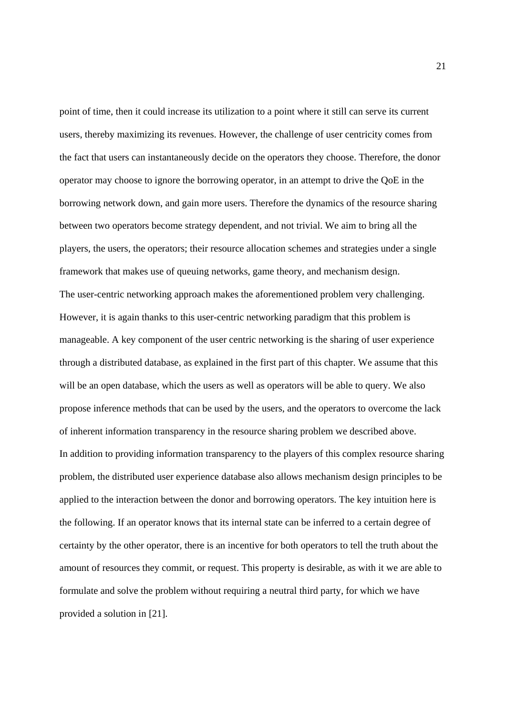point of time, then it could increase its utilization to a point where it still can serve its current users, thereby maximizing its revenues. However, the challenge of user centricity comes from the fact that users can instantaneously decide on the operators they choose. Therefore, the donor operator may choose to ignore the borrowing operator, in an attempt to drive the QoE in the borrowing network down, and gain more users. Therefore the dynamics of the resource sharing between two operators become strategy dependent, and not trivial. We aim to bring all the players, the users, the operators; their resource allocation schemes and strategies under a single framework that makes use of queuing networks, game theory, and mechanism design. The user-centric networking approach makes the aforementioned problem very challenging. However, it is again thanks to this user-centric networking paradigm that this problem is manageable. A key component of the user centric networking is the sharing of user experience through a distributed database, as explained in the first part of this chapter. We assume that this will be an open database, which the users as well as operators will be able to query. We also propose inference methods that can be used by the users, and the operators to overcome the lack of inherent information transparency in the resource sharing problem we described above. In addition to providing information transparency to the players of this complex resource sharing problem, the distributed user experience database also allows mechanism design principles to be applied to the interaction between the donor and borrowing operators. The key intuition here is the following. If an operator knows that its internal state can be inferred to a certain degree of certainty by the other operator, there is an incentive for both operators to tell the truth about the amount of resources they commit, or request. This property is desirable, as with it we are able to formulate and solve the problem without requiring a neutral third party, for which we have provided a solution in [21].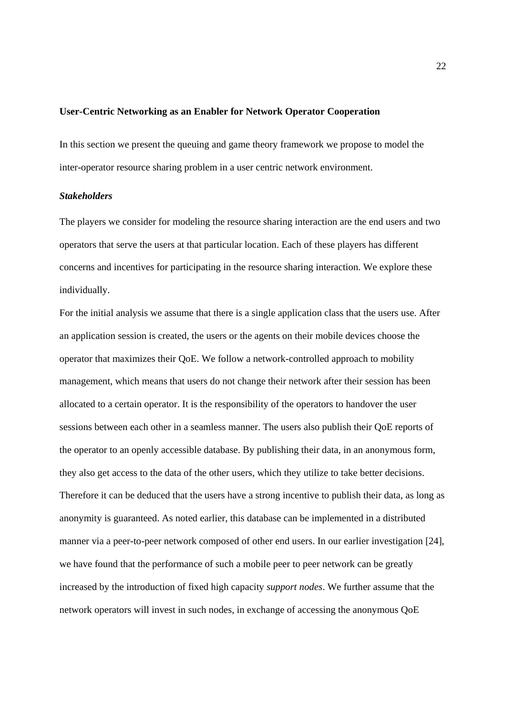#### **User-Centric Networking as an Enabler for Network Operator Cooperation**

In this section we present the queuing and game theory framework we propose to model the inter-operator resource sharing problem in a user centric network environment.

# *Stakeholders*

The players we consider for modeling the resource sharing interaction are the end users and two operators that serve the users at that particular location. Each of these players has different concerns and incentives for participating in the resource sharing interaction. We explore these individually.

For the initial analysis we assume that there is a single application class that the users use. After an application session is created, the users or the agents on their mobile devices choose the operator that maximizes their QoE. We follow a network-controlled approach to mobility management, which means that users do not change their network after their session has been allocated to a certain operator. It is the responsibility of the operators to handover the user sessions between each other in a seamless manner. The users also publish their QoE reports of the operator to an openly accessible database. By publishing their data, in an anonymous form, they also get access to the data of the other users, which they utilize to take better decisions. Therefore it can be deduced that the users have a strong incentive to publish their data, as long as anonymity is guaranteed. As noted earlier, this database can be implemented in a distributed manner via a peer-to-peer network composed of other end users. In our earlier investigation [24], we have found that the performance of such a mobile peer to peer network can be greatly increased by the introduction of fixed high capacity *support nodes*. We further assume that the network operators will invest in such nodes, in exchange of accessing the anonymous QoE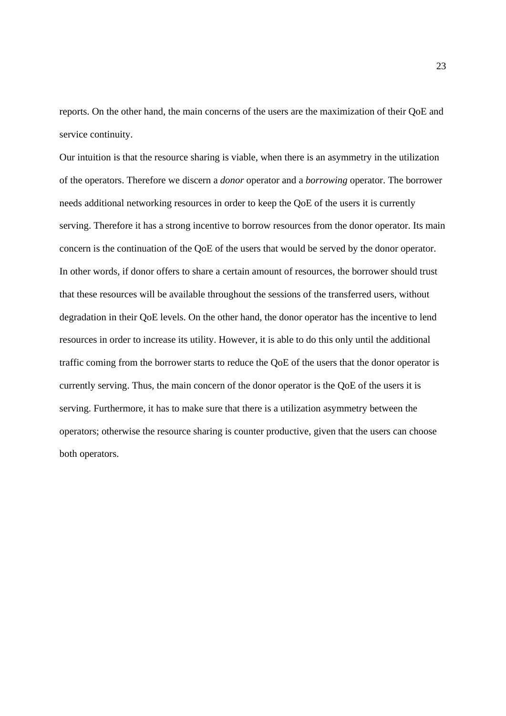reports. On the other hand, the main concerns of the users are the maximization of their QoE and service continuity.

Our intuition is that the resource sharing is viable, when there is an asymmetry in the utilization of the operators. Therefore we discern a *donor* operator and a *borrowing* operator. The borrower needs additional networking resources in order to keep the QoE of the users it is currently serving. Therefore it has a strong incentive to borrow resources from the donor operator. Its main concern is the continuation of the QoE of the users that would be served by the donor operator. In other words, if donor offers to share a certain amount of resources, the borrower should trust that these resources will be available throughout the sessions of the transferred users, without degradation in their QoE levels. On the other hand, the donor operator has the incentive to lend resources in order to increase its utility. However, it is able to do this only until the additional traffic coming from the borrower starts to reduce the QoE of the users that the donor operator is currently serving. Thus, the main concern of the donor operator is the QoE of the users it is serving. Furthermore, it has to make sure that there is a utilization asymmetry between the operators; otherwise the resource sharing is counter productive, given that the users can choose both operators.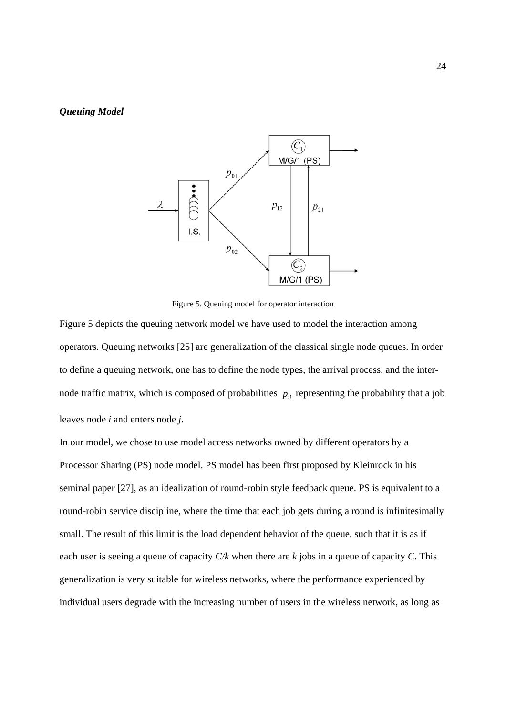#### *Queuing Model*



Figure 5. Queuing model for operator interaction

Figure 5 depicts the queuing network model we have used to model the interaction among operators. Queuing networks [25] are generalization of the classical single node queues. In order to define a queuing network, one has to define the node types, the arrival process, and the internode traffic matrix, which is composed of probabilities  $p_{ij}$  representing the probability that a job leaves node *i* and enters node *j*.

In our model, we chose to use model access networks owned by different operators by a Processor Sharing (PS) node model. PS model has been first proposed by Kleinrock in his seminal paper [27], as an idealization of round-robin style feedback queue. PS is equivalent to a round-robin service discipline, where the time that each job gets during a round is infinitesimally small. The result of this limit is the load dependent behavior of the queue, such that it is as if each user is seeing a queue of capacity *C/k* when there are *k* jobs in a queue of capacity *C*. This generalization is very suitable for wireless networks, where the performance experienced by individual users degrade with the increasing number of users in the wireless network, as long as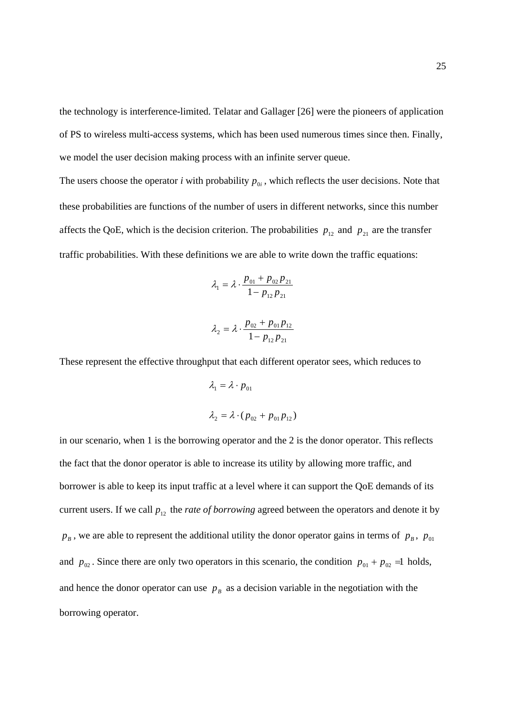the technology is interference-limited. Telatar and Gallager [26] were the pioneers of application of PS to wireless multi-access systems, which has been used numerous times since then. Finally, we model the user decision making process with an infinite server queue.

The users choose the operator *i* with probability  $p_{0i}$ , which reflects the user decisions. Note that these probabilities are functions of the number of users in different networks, since this number affects the QoE, which is the decision criterion. The probabilities  $p_{12}$  and  $p_{21}$  are the transfer traffic probabilities. With these definitions we are able to write down the traffic equations:

$$
\lambda_1 = \lambda \cdot \frac{p_{01} + p_{02}p_{21}}{1 - p_{12}p_{21}}
$$

$$
\lambda_2 = \lambda \cdot \frac{p_{02} + p_{01}p_{12}}{1 - p_{12}p_{21}}
$$

These represent the effective throughput that each different operator sees, which reduces to

$$
\lambda_1 = \lambda \cdot p_{01}
$$
  

$$
\lambda_2 = \lambda \cdot (p_{02} + p_{01}p_{12})
$$

in our scenario, when 1 is the borrowing operator and the 2 is the donor operator. This reflects the fact that the donor operator is able to increase its utility by allowing more traffic, and borrower is able to keep its input traffic at a level where it can support the QoE demands of its current users. If we call  $p_{12}$  the *rate of borrowing* agreed between the operators and denote it by  $p_B$ , we are able to represent the additional utility the donor operator gains in terms of  $p_B$ ,  $p_{01}$ and  $p_{02}$ . Since there are only two operators in this scenario, the condition  $p_{01} + p_{02} = 1$  holds, and hence the donor operator can use  $p_B$  as a decision variable in the negotiation with the borrowing operator.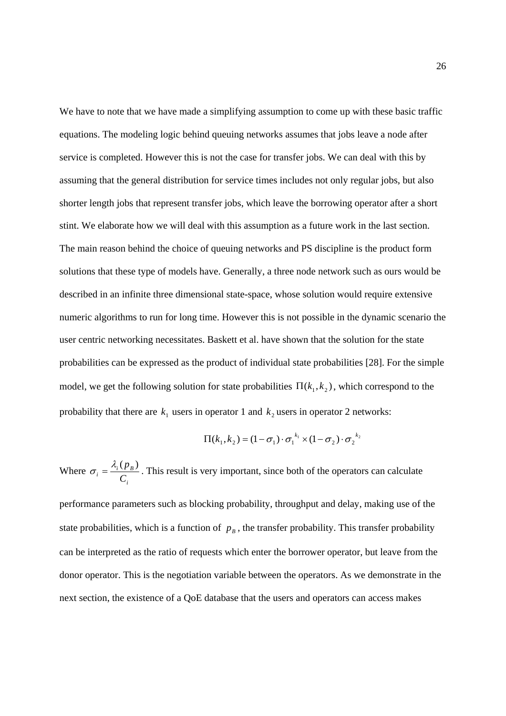We have to note that we have made a simplifying assumption to come up with these basic traffic equations. The modeling logic behind queuing networks assumes that jobs leave a node after service is completed. However this is not the case for transfer jobs. We can deal with this by assuming that the general distribution for service times includes not only regular jobs, but also shorter length jobs that represent transfer jobs, which leave the borrowing operator after a short stint. We elaborate how we will deal with this assumption as a future work in the last section. The main reason behind the choice of queuing networks and PS discipline is the product form solutions that these type of models have. Generally, a three node network such as ours would be described in an infinite three dimensional state-space, whose solution would require extensive numeric algorithms to run for long time. However this is not possible in the dynamic scenario the user centric networking necessitates. Baskett et al. have shown that the solution for the state probabilities can be expressed as the product of individual state probabilities [28]. For the simple model, we get the following solution for state probabilities  $\Pi(k_1, k_2)$ , which correspond to the probability that there are  $k_1$  users in operator 1 and  $k_2$  users in operator 2 networks:

$$
\Pi(k_1, k_2) = (1 - \sigma_1) \cdot \sigma_1^{k_1} \times (1 - \sigma_2) \cdot \sigma_2^{k_2}
$$

Where *i*  $\mu_i = \frac{\mu_i \vee \mu_B}{C_i}$  $\sigma_i = \frac{\lambda_i (p_B)}{g}$ . This result is very important, since both of the operators can calculate performance parameters such as blocking probability, throughput and delay, making use of the state probabilities, which is a function of  $p_B$ , the transfer probability. This transfer probability can be interpreted as the ratio of requests which enter the borrower operator, but leave from the donor operator. This is the negotiation variable between the operators. As we demonstrate in the next section, the existence of a QoE database that the users and operators can access makes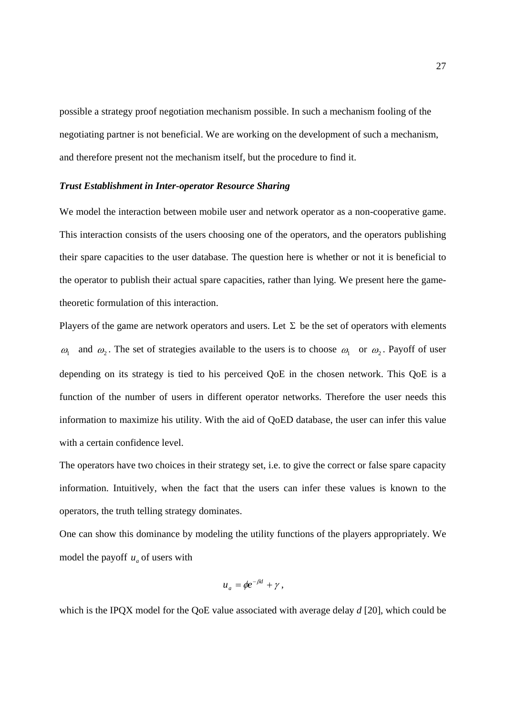possible a strategy proof negotiation mechanism possible. In such a mechanism fooling of the negotiating partner is not beneficial. We are working on the development of such a mechanism, and therefore present not the mechanism itself, but the procedure to find it.

#### *Trust Establishment in Inter-operator Resource Sharing*

We model the interaction between mobile user and network operator as a non-cooperative game. This interaction consists of the users choosing one of the operators, and the operators publishing their spare capacities to the user database. The question here is whether or not it is beneficial to the operator to publish their actual spare capacities, rather than lying. We present here the gametheoretic formulation of this interaction.

Players of the game are network operators and users. Let  $\Sigma$  be the set of operators with elements  $ω_1$  and  $ω_2$ . The set of strategies available to the users is to choose  $ω_1$  or  $ω_2$ . Payoff of user depending on its strategy is tied to his perceived QoE in the chosen network. This QoE is a function of the number of users in different operator networks. Therefore the user needs this information to maximize his utility. With the aid of QoED database, the user can infer this value with a certain confidence level.

The operators have two choices in their strategy set, i.e. to give the correct or false spare capacity information. Intuitively, when the fact that the users can infer these values is known to the operators, the truth telling strategy dominates.

One can show this dominance by modeling the utility functions of the players appropriately. We model the payoff  $u_a$  of users with

$$
u_a = \phi e^{-\beta d} + \gamma \,,
$$

which is the IPQX model for the QoE value associated with average delay *d* [20], which could be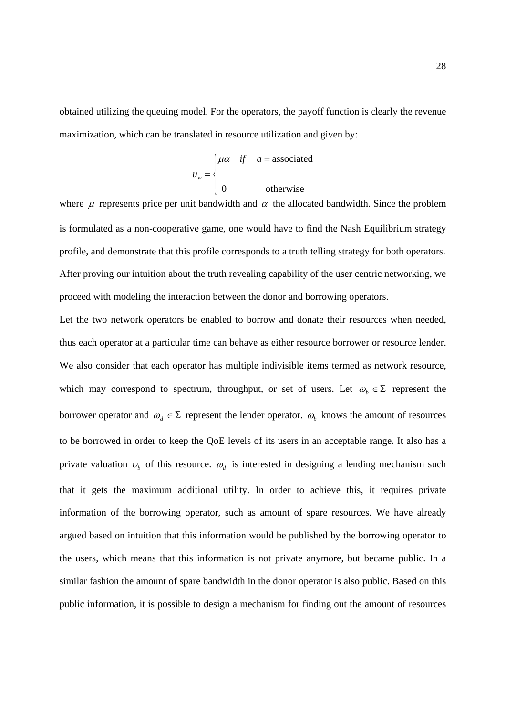obtained utilizing the queuing model. For the operators, the payoff function is clearly the revenue maximization, which can be translated in resource utilization and given by:

$$
u_w = \begin{cases} \mu \alpha & \text{if } a = \text{associated} \\ 0 & \text{otherwise} \end{cases}
$$

where  $\mu$  represents price per unit bandwidth and  $\alpha$  the allocated bandwidth. Since the problem is formulated as a non-cooperative game, one would have to find the Nash Equilibrium strategy profile, and demonstrate that this profile corresponds to a truth telling strategy for both operators. After proving our intuition about the truth revealing capability of the user centric networking, we proceed with modeling the interaction between the donor and borrowing operators.

Let the two network operators be enabled to borrow and donate their resources when needed, thus each operator at a particular time can behave as either resource borrower or resource lender. We also consider that each operator has multiple indivisible items termed as network resource, which may correspond to spectrum, throughput, or set of users. Let  $\omega_b \in \Sigma$  represent the borrower operator and  $\omega_d \in \Sigma$  represent the lender operator.  $\omega_b$  knows the amount of resources to be borrowed in order to keep the QoE levels of its users in an acceptable range. It also has a private valuation  $v<sub>b</sub>$  of this resource.  $\omega<sub>d</sub>$  is interested in designing a lending mechanism such that it gets the maximum additional utility. In order to achieve this, it requires private information of the borrowing operator, such as amount of spare resources. We have already argued based on intuition that this information would be published by the borrowing operator to the users, which means that this information is not private anymore, but became public. In a similar fashion the amount of spare bandwidth in the donor operator is also public. Based on this public information, it is possible to design a mechanism for finding out the amount of resources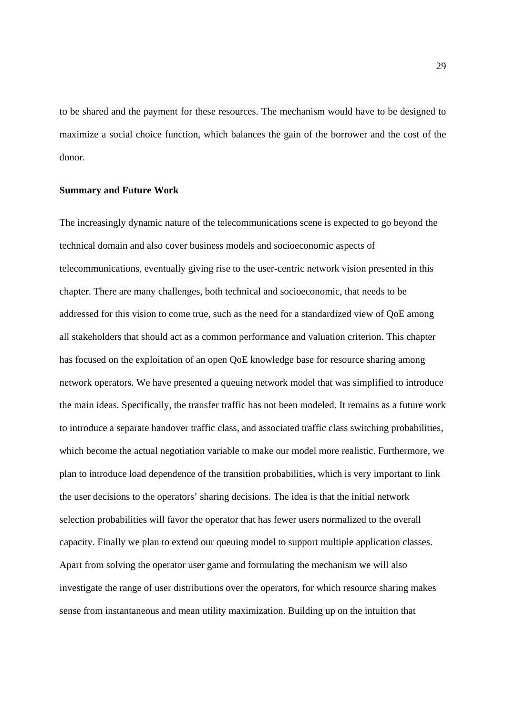to be shared and the payment for these resources. The mechanism would have to be designed to maximize a social choice function, which balances the gain of the borrower and the cost of the donor.

#### **Summary and Future Work**

The increasingly dynamic nature of the telecommunications scene is expected to go beyond the technical domain and also cover business models and socioeconomic aspects of telecommunications, eventually giving rise to the user-centric network vision presented in this chapter. There are many challenges, both technical and socioeconomic, that needs to be addressed for this vision to come true, such as the need for a standardized view of QoE among all stakeholders that should act as a common performance and valuation criterion. This chapter has focused on the exploitation of an open QoE knowledge base for resource sharing among network operators. We have presented a queuing network model that was simplified to introduce the main ideas. Specifically, the transfer traffic has not been modeled. It remains as a future work to introduce a separate handover traffic class, and associated traffic class switching probabilities, which become the actual negotiation variable to make our model more realistic. Furthermore, we plan to introduce load dependence of the transition probabilities, which is very important to link the user decisions to the operators' sharing decisions. The idea is that the initial network selection probabilities will favor the operator that has fewer users normalized to the overall capacity. Finally we plan to extend our queuing model to support multiple application classes. Apart from solving the operator user game and formulating the mechanism we will also investigate the range of user distributions over the operators, for which resource sharing makes sense from instantaneous and mean utility maximization. Building up on the intuition that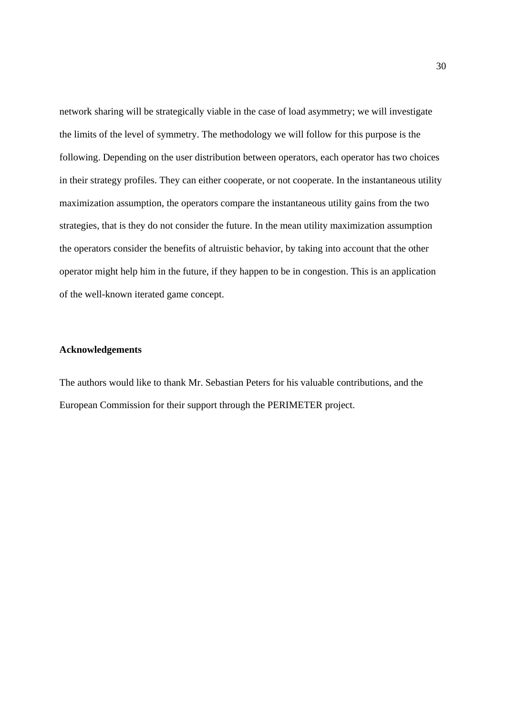network sharing will be strategically viable in the case of load asymmetry; we will investigate the limits of the level of symmetry. The methodology we will follow for this purpose is the following. Depending on the user distribution between operators, each operator has two choices in their strategy profiles. They can either cooperate, or not cooperate. In the instantaneous utility maximization assumption, the operators compare the instantaneous utility gains from the two strategies, that is they do not consider the future. In the mean utility maximization assumption the operators consider the benefits of altruistic behavior, by taking into account that the other operator might help him in the future, if they happen to be in congestion. This is an application of the well-known iterated game concept.

# **Acknowledgements**

The authors would like to thank Mr. Sebastian Peters for his valuable contributions, and the European Commission for their support through the PERIMETER project.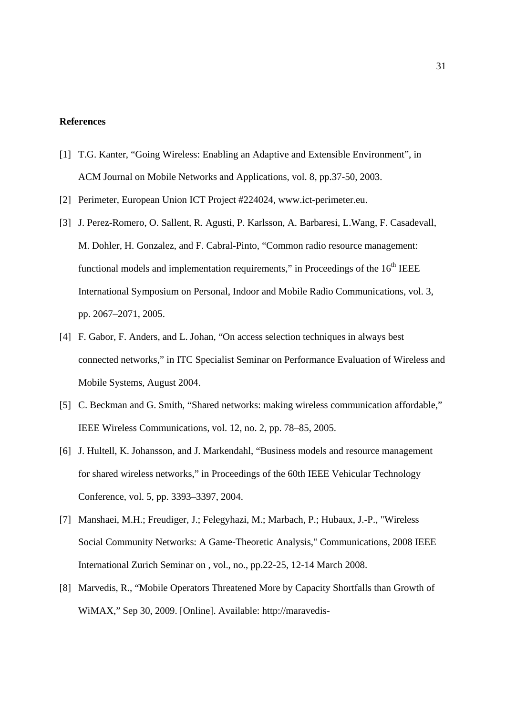#### **References**

- [1] T.G. Kanter, "Going Wireless: Enabling an Adaptive and Extensible Environment", in ACM Journal on Mobile Networks and Applications, vol. 8, pp.37-50, 2003.
- [2] Perimeter, European Union ICT Project #224024, www.ict-perimeter.eu.
- [3] J. Perez-Romero, O. Sallent, R. Agusti, P. Karlsson, A. Barbaresi, L.Wang, F. Casadevall, M. Dohler, H. Gonzalez, and F. Cabral-Pinto, "Common radio resource management: functional models and implementation requirements," in Proceedings of the  $16<sup>th</sup> IEEE$ International Symposium on Personal, Indoor and Mobile Radio Communications, vol. 3, pp. 2067–2071, 2005.
- [4] F. Gabor, F. Anders, and L. Johan, "On access selection techniques in always best connected networks," in ITC Specialist Seminar on Performance Evaluation of Wireless and Mobile Systems, August 2004.
- [5] C. Beckman and G. Smith, "Shared networks: making wireless communication affordable," IEEE Wireless Communications, vol. 12, no. 2, pp. 78–85, 2005.
- [6] J. Hultell, K. Johansson, and J. Markendahl, "Business models and resource management for shared wireless networks," in Proceedings of the 60th IEEE Vehicular Technology Conference, vol. 5, pp. 3393–3397, 2004.
- [7] Manshaei, M.H.; Freudiger, J.; Felegyhazi, M.; Marbach, P.; Hubaux, J.-P., "Wireless Social Community Networks: A Game-Theoretic Analysis," Communications, 2008 IEEE International Zurich Seminar on , vol., no., pp.22-25, 12-14 March 2008.
- [8] Marvedis, R., "Mobile Operators Threatened More by Capacity Shortfalls than Growth of WiMAX," Sep 30, 2009. [Online]. Available: http://maravedis-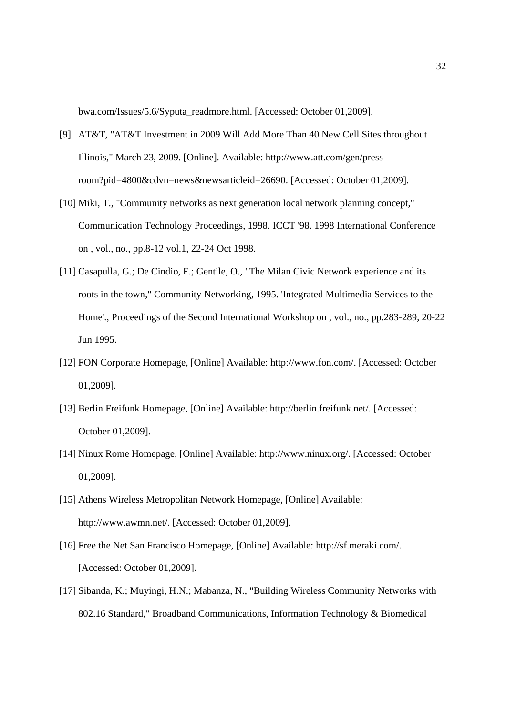bwa.com/Issues/5.6/Syputa\_readmore.html. [Accessed: October 01,2009].

- [9] AT&T, "AT&T Investment in 2009 Will Add More Than 40 New Cell Sites throughout Illinois," March 23, 2009. [Online]. Available: http://www.att.com/gen/pressroom?pid=4800&cdvn=news&newsarticleid=26690. [Accessed: October 01,2009].
- [10] Miki, T., "Community networks as next generation local network planning concept," Communication Technology Proceedings, 1998. ICCT '98. 1998 International Conference on , vol., no., pp.8-12 vol.1, 22-24 Oct 1998.
- [11] Casapulla, G.; De Cindio, F.; Gentile, O., "The Milan Civic Network experience and its roots in the town," Community Networking, 1995. 'Integrated Multimedia Services to the Home'., Proceedings of the Second International Workshop on , vol., no., pp.283-289, 20-22 Jun 1995.
- [12] FON Corporate Homepage, [Online] Available: http://www.fon.com/. [Accessed: October 01,2009].
- [13] Berlin Freifunk Homepage, [Online] Available: http://berlin.freifunk.net/. [Accessed: October 01,2009].
- [14] Ninux Rome Homepage, [Online] Available: http://www.ninux.org/. [Accessed: October 01,2009].
- [15] Athens Wireless Metropolitan Network Homepage, [Online] Available: http://www.awmn.net/. [Accessed: October 01,2009].
- [16] Free the Net San Francisco Homepage, [Online] Available: http://sf.meraki.com/. [Accessed: October 01,2009].
- [17] Sibanda, K.; Muyingi, H.N.; Mabanza, N., "Building Wireless Community Networks with 802.16 Standard," Broadband Communications, Information Technology & Biomedical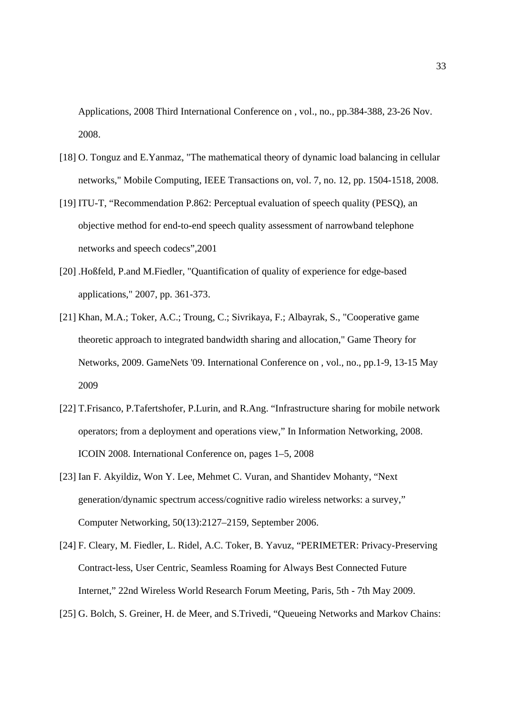Applications, 2008 Third International Conference on , vol., no., pp.384-388, 23-26 Nov. 2008.

- [18] O. Tonguz and E.Yanmaz, "The mathematical theory of dynamic load balancing in cellular networks," Mobile Computing, IEEE Transactions on, vol. 7, no. 12, pp. 1504-1518, 2008.
- [19] ITU-T, "Recommendation P.862: Perceptual evaluation of speech quality (PESQ), an objective method for end-to-end speech quality assessment of narrowband telephone networks and speech codecs",2001
- [20] .Hoßfeld, P.and M.Fiedler, "Quantification of quality of experience for edge-based applications," 2007, pp. 361-373.
- [21] Khan, M.A.; Toker, A.C.; Troung, C.; Sivrikaya, F.; Albayrak, S., "Cooperative game theoretic approach to integrated bandwidth sharing and allocation," Game Theory for Networks, 2009. GameNets '09. International Conference on , vol., no., pp.1-9, 13-15 May 2009
- [22] T.Frisanco, P.Tafertshofer, P.Lurin, and R.Ang. "Infrastructure sharing for mobile network operators; from a deployment and operations view," In Information Networking, 2008. ICOIN 2008. International Conference on, pages 1–5, 2008
- [23] Ian F. Akyildiz, Won Y. Lee, Mehmet C. Vuran, and Shantidev Mohanty, "Next generation/dynamic spectrum access/cognitive radio wireless networks: a survey," Computer Networking, 50(13):2127–2159, September 2006.
- [24] F. Cleary, M. Fiedler, L. Ridel, A.C. Toker, B. Yavuz, "PERIMETER: Privacy-Preserving Contract-less, User Centric, Seamless Roaming for Always Best Connected Future Internet," 22nd Wireless World Research Forum Meeting, Paris, 5th - 7th May 2009.
- [25] G. Bolch, S. Greiner, H. de Meer, and S.Trivedi, "Queueing Networks and Markov Chains: